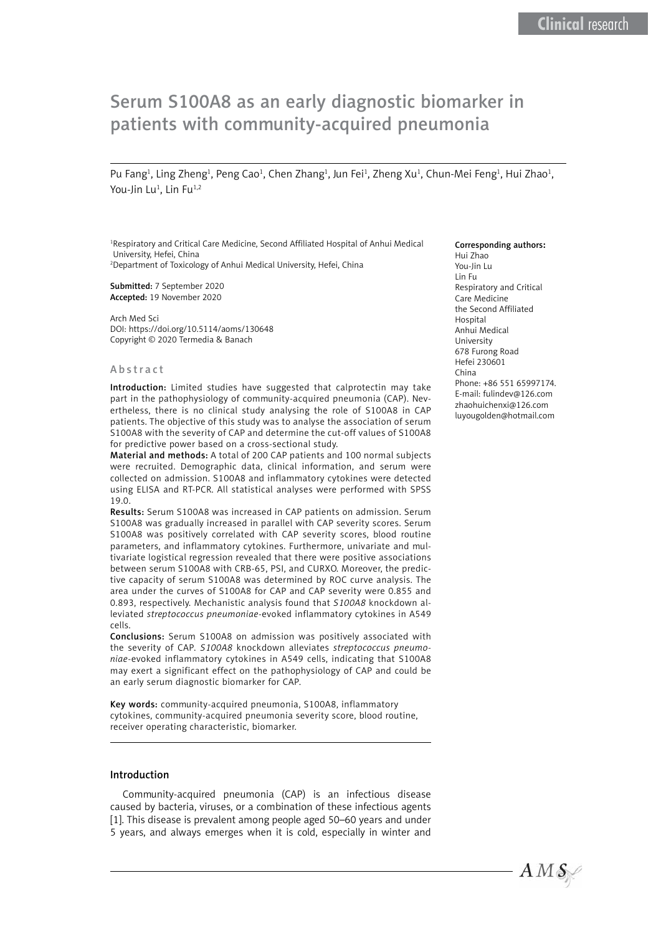# Serum S100A8 as an early diagnostic biomarker in patients with community-acquired pneumonia

Pu Fang<sup>1</sup>, Ling Zheng<sup>1</sup>, Peng Cao<sup>1</sup>, Chen Zhang<sup>1</sup>, Jun Fei<sup>1</sup>, Zheng Xu<sup>1</sup>, Chun-Mei Feng<sup>1</sup>, Hui Zhao<sup>1</sup>, You-Jin Lu<sup>1</sup>, Lin Fu<sup>1,2</sup>

<sup>1</sup>Respiratory and Critical Care Medicine, Second Affiliated Hospital of Anhui Medical University, Hefei, China 2 Department of Toxicology of Anhui Medical University, Hefei, China

Submitted: 7 September 2020 Accepted: 19 November 2020

Arch Med Sci DOI: https://doi.org/10.5114/aoms/130648 Copyright © 2020 Termedia & Banach

#### Abstract

Introduction: Limited studies have suggested that calprotectin may take part in the pathophysiology of community-acquired pneumonia (CAP). Nevertheless, there is no clinical study analysing the role of S100A8 in CAP patients. The objective of this study was to analyse the association of serum S100A8 with the severity of CAP and determine the cut-off values of S100A8 for predictive power based on a cross-sectional study.

Material and methods: A total of 200 CAP patients and 100 normal subjects were recruited. Demographic data, clinical information, and serum were collected on admission. S100A8 and inflammatory cytokines were detected using ELISA and RT-PCR. All statistical analyses were performed with SPSS 19.0.

Results: Serum S100A8 was increased in CAP patients on admission. Serum S100A8 was gradually increased in parallel with CAP severity scores. Serum S100A8 was positively correlated with CAP severity scores, blood routine parameters, and inflammatory cytokines. Furthermore, univariate and multivariate logistical regression revealed that there were positive associations between serum S100A8 with CRB-65, PSI, and CURXO. Moreover, the predictive capacity of serum S100A8 was determined by ROC curve analysis. The area under the curves of S100A8 for CAP and CAP severity were 0.855 and 0.893, respectively. Mechanistic analysis found that *S100A8* knockdown alleviated *streptococcus pneumoniae*-evoked inflammatory cytokines in A549 cells.

Conclusions: Serum S100A8 on admission was positively associated with the severity of CAP. *S100A8* knockdown alleviates *streptococcus pneumoniae-*evoked inflammatory cytokines in A549 cells, indicating that S100A8 may exert a significant effect on the pathophysiology of CAP and could be an early serum diagnostic biomarker for CAP.

Key words: community-acquired pneumonia, S100A8, inflammatory cytokines, community-acquired pneumonia severity score, blood routine, receiver operating characteristic, biomarker.

#### Introduction

Community-acquired pneumonia (CAP) is an infectious disease caused by bacteria, viruses, or a combination of these infectious agents [1]. This disease is prevalent among people aged 50–60 years and under 5 years, and always emerges when it is cold, especially in winter and

#### Corresponding authors:

Hui Zhao You-Jin Lu Lin Fu Respiratory and Critical Care Medicine the Second Affiliated Hospital Anhui Medical University 678 Furong Road Hefei 230601 China Phone: +86 551 65997174. E-mail: [fulindev@126.com](mailto:fulindev@126.com )  zhaohuichenxi@126.com luyougolden@hotmail.com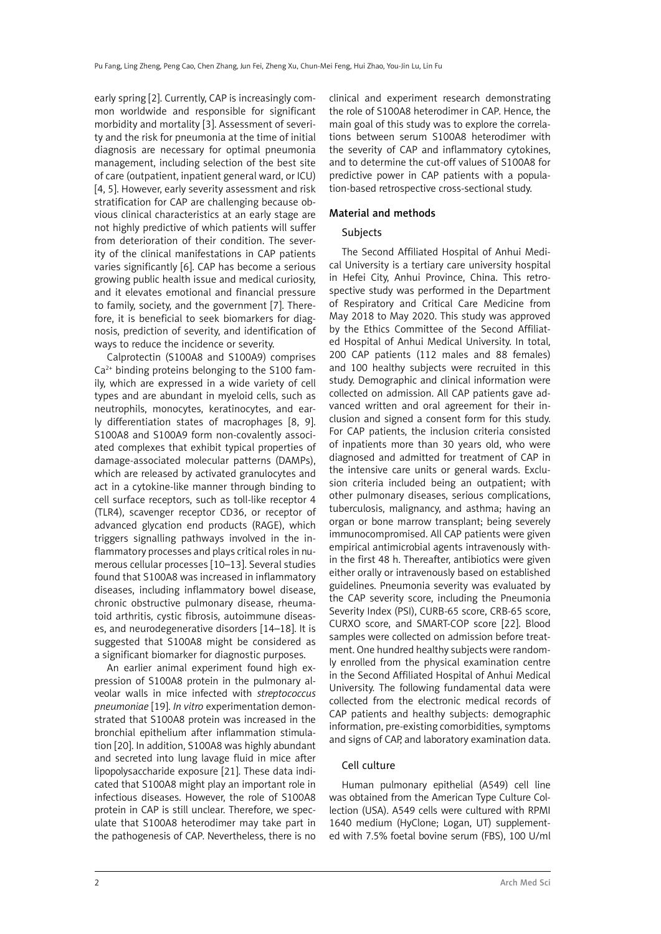early spring [2]. Currently, CAP is increasingly common worldwide and responsible for significant morbidity and mortality [3]. Assessment of severity and the risk for pneumonia at the time of initial diagnosis are necessary for optimal pneumonia management, including selection of the best site of care (outpatient, inpatient general ward, or ICU) [4, 5]. However, early severity assessment and risk stratification for CAP are challenging because obvious clinical characteristics at an early stage are not highly predictive of which patients will suffer from deterioration of their condition. The severity of the clinical manifestations in CAP patients varies significantly [6]. CAP has become a serious growing public health issue and medical curiosity, and it elevates emotional and financial pressure to family, society, and the government [7]. Therefore, it is beneficial to seek biomarkers for diagnosis, prediction of severity, and identification of ways to reduce the incidence or severity.

Calprotectin (S100A8 and S100A9) comprises  $Ca<sup>2+</sup>$  binding proteins belonging to the S100 family, which are expressed in a wide variety of cell types and are abundant in myeloid cells, such as neutrophils, monocytes, keratinocytes, and early differentiation states of macrophages [8, 9]. S100A8 and S100A9 form non-covalently associated complexes that exhibit typical properties of damage-associated molecular patterns (DAMPs), which are released by activated granulocytes and act in a cytokine-like manner through binding to cell surface receptors, such as toll-like receptor 4 (TLR4), scavenger receptor CD36, or receptor of advanced glycation end products (RAGE), which triggers signalling pathways involved in the inflammatory processes and plays critical roles in numerous cellular processes [10–13]. Several studies found that S100A8 was increased in inflammatory diseases, including inflammatory bowel disease, chronic obstructive pulmonary disease, rheumatoid arthritis, cystic fibrosis, autoimmune diseases, and neurodegenerative disorders [14–18]. It is suggested that S100A8 might be considered as a significant biomarker for diagnostic purposes.

An earlier animal experiment found high expression of S100A8 protein in the pulmonary alveolar walls in mice infected with *streptococcus pneumoniae* [19]. *In vitro* experimentation demonstrated that S100A8 protein was increased in the bronchial epithelium after inflammation stimulation [20]. In addition, S100A8 was highly abundant and secreted into lung lavage fluid in mice after lipopolysaccharide exposure [21]. These data indicated that S100A8 might play an important role in infectious diseases. However, the role of S100A8 protein in CAP is still unclear. Therefore, we speculate that S100A8 heterodimer may take part in the pathogenesis of CAP. Nevertheless, there is no

clinical and experiment research demonstrating the role of S100A8 heterodimer in CAP. Hence, the main goal of this study was to explore the correlations between serum S100A8 heterodimer with the severity of CAP and inflammatory cytokines, and to determine the cut-off values of S100A8 for predictive power in CAP patients with a population-based retrospective cross-sectional study.

### Material and methods

### Subjects

The Second Affiliated Hospital of Anhui Medical University is a tertiary care university hospital in Hefei City, Anhui Province, China. This retrospective study was performed in the Department of Respiratory and Critical Care Medicine from May 2018 to May 2020. This study was approved by the Ethics Committee of the Second Affiliated Hospital of Anhui Medical University. In total, 200 CAP patients (112 males and 88 females) and 100 healthy subjects were recruited in this study. Demographic and clinical information were collected on admission. All CAP patients gave advanced written and oral agreement for their inclusion and signed a consent form for this study. For CAP patients, the inclusion criteria consisted of inpatients more than 30 years old, who were diagnosed and admitted for treatment of CAP in the intensive care units or general wards. Exclusion criteria included being an outpatient; with other pulmonary diseases, serious complications, tuberculosis, malignancy, and asthma; having an organ or bone marrow transplant; being severely immunocompromised. All CAP patients were given empirical antimicrobial agents intravenously within the first 48 h. Thereafter, antibiotics were given either orally or intravenously based on established guidelines. Pneumonia severity was evaluated by the CAP severity score, including the Pneumonia Severity Index (PSI), CURB-65 score, CRB-65 score, CURXO score, and SMART-COP score [22]. Blood samples were collected on admission before treatment. One hundred healthy subjects were randomly enrolled from the physical examination centre in the Second Affiliated Hospital of Anhui Medical University. The following fundamental data were collected from the electronic medical records of CAP patients and healthy subjects: demographic information, pre-existing comorbidities, symptoms and signs of CAP, and laboratory examination data.

### Cell culture

Human pulmonary epithelial (A549) cell line was obtained from the American Type Culture Collection (USA). A549 cells were cultured with RPMI 1640 medium (HyClone; Logan, UT) supplemented with 7.5% foetal bovine serum (FBS), 100 U/ml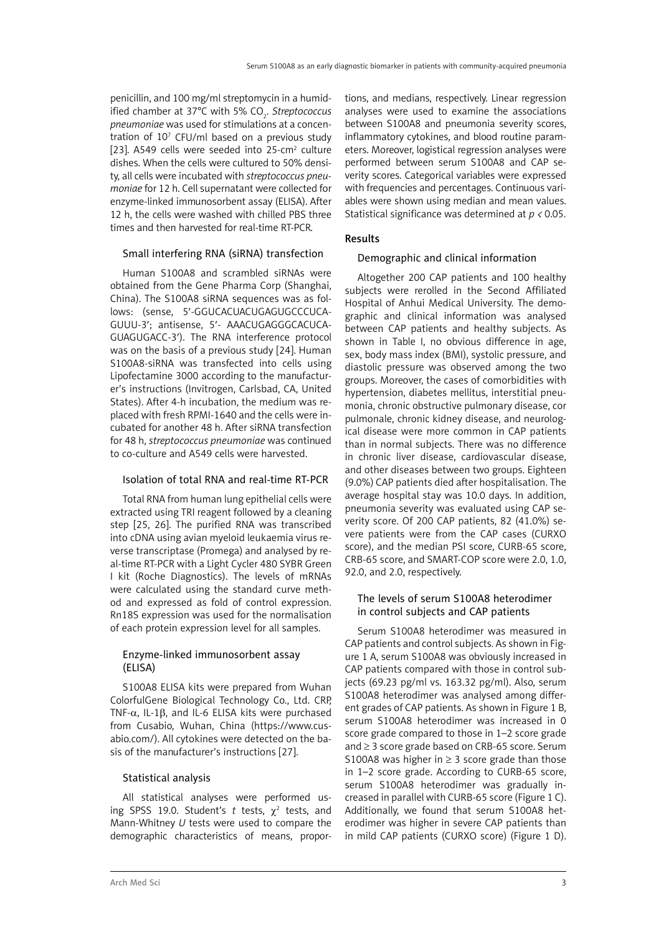penicillin, and 100 mg/ml streptomycin in a humidified chamber at 37°C with 5% CO<sub>2</sub>. Streptococcus *pneumoniae* was used for stimulations at a concentration of  $10<sup>7</sup>$  CFU/ml based on a previous study [23]. A549 cells were seeded into 25-cm $2$  culture dishes. When the cells were cultured to 50% density, all cells were incubated with *streptococcus pneumoniae* for 12 h. Cell supernatant were collected for enzyme-linked immunosorbent assay (ELISA). After 12 h, the cells were washed with chilled PBS three times and then harvested for real-time RT-PCR.

# Small interfering RNA (siRNA) transfection

Human S100A8 and scrambled siRNAs were obtained from the Gene Pharma Corp (Shanghai, China). The S100A8 siRNA sequences was as follows: (sense, 5′-GGUCACUACUGAGUGCCCUCA-GUUU-3′; antisense, 5′- AAACUGAGGGCACUCA-GUAGUGACC-3′). The RNA interference protocol was on the basis of a previous study [24]. Human S100A8-siRNA was transfected into cells using Lipofectamine 3000 according to the manufacturer's instructions (Invitrogen, Carlsbad, CA, United States). After 4-h incubation, the medium was replaced with fresh RPMI-1640 and the cells were incubated for another 48 h. After siRNA transfection for 48 h, *streptococcus pneumoniae* was continued to co-culture and A549 cells were harvested.

# Isolation of total RNA and real-time RT-PCR

Total RNA from human lung epithelial cells were extracted using TRI reagent followed by a cleaning step [25, 26]. The purified RNA was transcribed into cDNA using avian myeloid leukaemia virus reverse transcriptase (Promega) and analysed by real-time RT-PCR with a Light Cycler 480 SYBR Green I kit (Roche Diagnostics). The levels of mRNAs were calculated using the standard curve method and expressed as fold of control expression. Rn18S expression was used for the normalisation of each protein expression level for all samples.

# Enzyme-linked immunosorbent assay (ELISA)

S100A8 ELISA kits were prepared from Wuhan ColorfulGene Biological Technology Co., Ltd. CRP, TNF-α, IL-1β, and IL-6 ELISA kits were purchased from Cusabio, Wuhan, China ([https://www.cus](https://www.cusabio.com/)[abio.com/\)](https://www.cusabio.com/). All cytokines were detected on the basis of the manufacturer's instructions [27].

# Statistical analysis

All statistical analyses were performed using SPSS 19.0. Student's t tests,  $\chi^2$  tests, and Mann-Whitney *U* tests were used to compare the demographic characteristics of means, proportions, and medians, respectively. Linear regression analyses were used to examine the associations between S100A8 and pneumonia severity scores, inflammatory cytokines, and blood routine parameters. Moreover, logistical regression analyses were performed between serum S100A8 and CAP severity scores. Categorical variables were expressed with frequencies and percentages. Continuous variables were shown using median and mean values. Statistical significance was determined at *p <* 0.05.

# Results

# Demographic and clinical information

Altogether 200 CAP patients and 100 healthy subjects were rerolled in the Second Affiliated Hospital of Anhui Medical University. The demographic and clinical information was analysed between CAP patients and healthy subjects. As shown in Table I, no obvious difference in age, sex, body mass index (BMI), systolic pressure, and diastolic pressure was observed among the two groups. Moreover, the cases of comorbidities with hypertension, diabetes mellitus, interstitial pneumonia, chronic obstructive pulmonary disease, cor pulmonale, chronic kidney disease, and neurological disease were more common in CAP patients than in normal subjects. There was no difference in chronic liver disease, cardiovascular disease, and other diseases between two groups. Eighteen (9.0%) CAP patients died after hospitalisation. The average hospital stay was 10.0 days. In addition, pneumonia severity was evaluated using CAP severity score. Of 200 CAP patients, 82 (41.0%) severe patients were from the CAP cases (CURXO score), and the median PSI score, CURB-65 score, CRB-65 score, and SMART-COP score were 2.0, 1.0, 92.0, and 2.0, respectively.

# The levels of serum S100A8 heterodimer in control subjects and CAP patients

Serum S100A8 heterodimer was measured in CAP patients and control subjects. As shown in Figure 1 A, serum S100A8 was obviously increased in CAP patients compared with those in control subjects (69.23 pg/ml vs. 163.32 pg/ml). Also, serum S100A8 heterodimer was analysed among different grades of CAP patients. As shown in Figure 1 B, serum S100A8 heterodimer was increased in 0 score grade compared to those in 1–2 score grade and ≥ 3 score grade based on CRB-65 score. Serum S100A8 was higher in  $\geq$  3 score grade than those in 1–2 score grade. According to CURB-65 score, serum S100A8 heterodimer was gradually increased in parallel with CURB-65 score (Figure 1 C). Additionally, we found that serum S100A8 heterodimer was higher in severe CAP patients than in mild CAP patients (CURXO score) (Figure 1 D).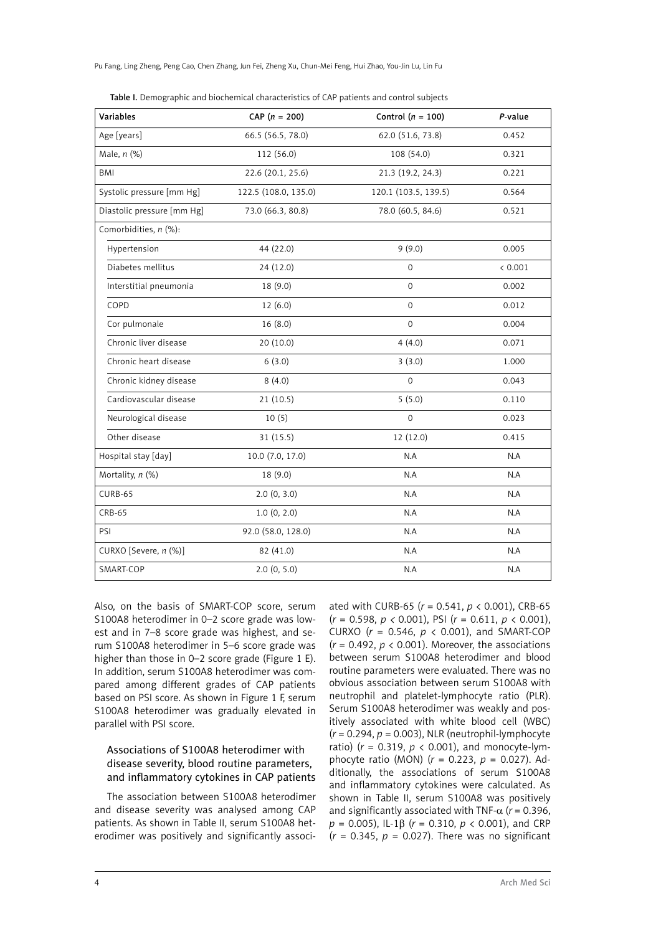Pu Fang, Ling Zheng, Peng Cao, Chen Zhang, Jun Fei, Zheng Xu, Chun-Mei Feng, Hui Zhao, You-Jin Lu, Lin Fu

| <b>Variables</b>           | $CAP (n = 200)$      | Control ( $n = 100$ ) | P-value |
|----------------------------|----------------------|-----------------------|---------|
| Age [years]                | 66.5 (56.5, 78.0)    | 62.0 (51.6, 73.8)     | 0.452   |
| Male, n (%)                | 112 (56.0)           | 108 (54.0)            | 0.321   |
| BMI                        | 22.6 (20.1, 25.6)    | 21.3 (19.2, 24.3)     | 0.221   |
| Systolic pressure [mm Hg]  | 122.5 (108.0, 135.0) | 120.1 (103.5, 139.5)  | 0.564   |
| Diastolic pressure [mm Hg] | 73.0 (66.3, 80.8)    | 78.0 (60.5, 84.6)     | 0.521   |
| Comorbidities, n (%):      |                      |                       |         |
| Hypertension               | 44 (22.0)            | 9(9.0)                | 0.005   |
| Diabetes mellitus          | 24 (12.0)            | $\Omega$              | < 0.001 |
| Interstitial pneumonia     | 18(9.0)              | $\mathbf 0$           | 0.002   |
| COPD                       | 12(6.0)              | $\mathbf{O}$          | 0.012   |
| Cor pulmonale              | 16(8.0)              | $\mathbf{O}$          | 0.004   |
| Chronic liver disease      | 20(10.0)             | 4(4.0)                | 0.071   |
| Chronic heart disease      | 6(3.0)               | 3(3.0)                | 1.000   |
| Chronic kidney disease     | 8(4.0)               | $\mathbf 0$           | 0.043   |
| Cardiovascular disease     | 21(10.5)             | 5(5.0)                | 0.110   |
| Neurological disease       | 10(5)                | $\mathbf 0$           | 0.023   |
| Other disease              | 31(15.5)             | 12 (12.0)             | 0.415   |
| Hospital stay [day]        | 10.0 (7.0, 17.0)     | N.A                   | N.A     |
| Mortality, n (%)           | 18(9.0)              | N.A                   | N.A     |
| CURB-65                    | 2.0(0, 3.0)          | N.A                   | N.A     |
| <b>CRB-65</b>              | 1.0(0, 2.0)          | N.A                   | N.A     |
| PSI                        | 92.0 (58.0, 128.0)   | N.A                   | N.A     |
| CURXO [Severe, n (%)]      | 82 (41.0)            | N.A                   | N.A     |
| SMART-COP                  | 2.0(0, 5.0)          | N.A                   | N.A     |

Table I. Demographic and biochemical characteristics of CAP patients and control subjects

Also, on the basis of SMART-COP score, serum S100A8 heterodimer in 0–2 score grade was lowest and in 7–8 score grade was highest, and serum S100A8 heterodimer in 5–6 score grade was higher than those in 0–2 score grade (Figure 1 E). In addition, serum S100A8 heterodimer was compared among different grades of CAP patients based on PSI score. As shown in Figure 1 F, serum S100A8 heterodimer was gradually elevated in parallel with PSI score.

# Associations of S100A8 heterodimer with disease severity, blood routine parameters, and inflammatory cytokines in CAP patients

The association between S100A8 heterodimer and disease severity was analysed among CAP patients. As shown in Table II, serum S100A8 heterodimer was positively and significantly associated with CURB-65 (*r* = 0.541, *p* < 0.001), CRB-65 (*r* = 0.598, *p <* 0.001), PSI (*r* = 0.611, *p* < 0.001), CURXO (*r* = 0.546, *p* < 0.001), and SMART-COP  $(r = 0.492, p < 0.001)$ . Moreover, the associations between serum S100A8 heterodimer and blood routine parameters were evaluated. There was no obvious association between serum S100A8 with neutrophil and platelet-lymphocyte ratio (PLR). Serum S100A8 heterodimer was weakly and positively associated with white blood cell (WBC) (*r* = 0.294, *p* = 0.003), NLR (neutrophil-lymphocyte ratio) (*r* = 0.319, *p* < 0.001), and monocyte-lymphocyte ratio (MON) (*r* = 0.223, *p* = 0.027). Additionally, the associations of serum S100A8 and inflammatory cytokines were calculated. As shown in Table II, serum S100A8 was positively and significantly associated with TNF- $\alpha$  ( $r = 0.396$ , *p* = 0.005), IL-1β (*r* = 0.310, *p* < 0.001), and CRP  $(r = 0.345, p = 0.027)$ . There was no significant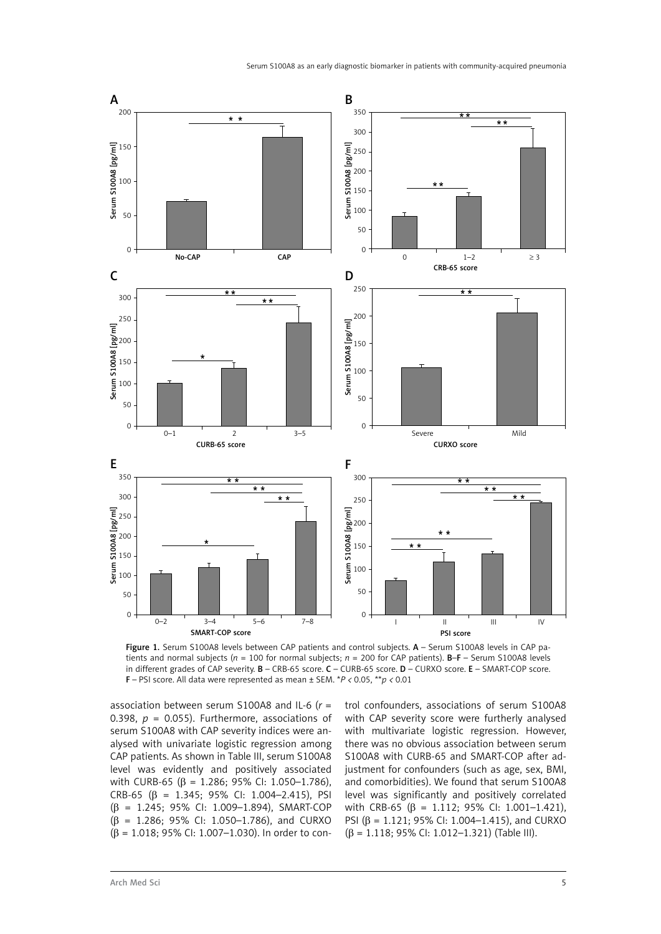

Figure 1. Serum S100A8 levels between CAP patients and control subjects. A - Serum S100A8 levels in CAP patients and normal subjects (*n* = 100 for normal subjects; *n* = 200 for CAP patients). B–F – Serum S100A8 levels in different grades of CAP severity. **B** – CRB-65 score. **C** – CURB-65 score. **D** – CURXO score. **E** – SMART-COP score. F – PSI score. All data were represented as mean ± SEM. \**P <* 0.05, \*\**p <* 0.01

association between serum S100A8 and IL-6 (*r* = 0.398,  $p = 0.055$ ). Furthermore, associations of serum S100A8 with CAP severity indices were analysed with univariate logistic regression among CAP patients. As shown in Table III, serum S100A8 level was evidently and positively associated with CURB-65 (β = 1.286; 95% CI: 1.050-1.786), CRB-65 ( $\beta$  = 1.345; 95% CI: 1.004-2.415), PSI (β = 1.245; 95% CI: 1.009–1.894), SMART-COP (β = 1.286; 95% CI: 1.050–1.786), and CURXO (β = 1.018; 95% CI: 1.007–1.030). In order to control confounders, associations of serum S100A8 with CAP severity score were furtherly analysed with multivariate logistic regression. However, there was no obvious association between serum S100A8 with CURB-65 and SMART-COP after adjustment for confounders (such as age, sex, BMI, and comorbidities). We found that serum S100A8 level was significantly and positively correlated with CRB-65 (β = 1.112; 95% CI: 1.001-1.421), PSI (β = 1.121; 95% CI: 1.004–1.415), and CURXO (β = 1.118; 95% CI: 1.012–1.321) (Table III).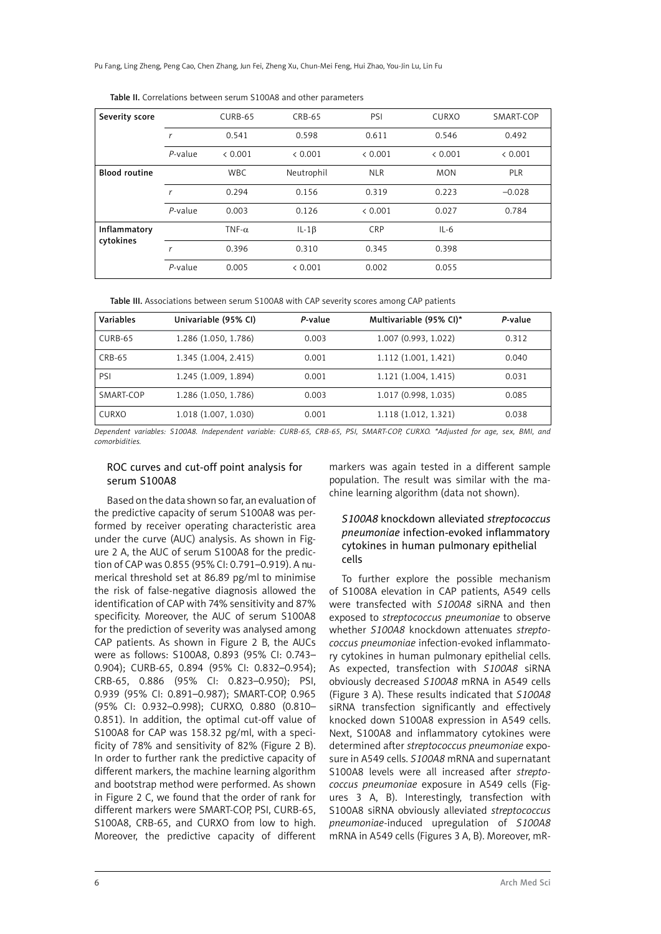Pu Fang, Ling Zheng, Peng Cao, Chen Zhang, Jun Fei, Zheng Xu, Chun-Mei Feng, Hui Zhao, You-Jin Lu, Lin Fu

| Severity score            |            | CURB-65       | CRB-65     | PSI        | <b>CURXO</b> | SMART-COP  |
|---------------------------|------------|---------------|------------|------------|--------------|------------|
|                           | r          | 0.541         | 0.598      | 0.611      | 0.546        | 0.492      |
|                           | $P$ -value | < 0.001       | & 0.001    | < 0.001    | < 0.001      | < 0.001    |
| <b>Blood routine</b>      |            | <b>WBC</b>    | Neutrophil | <b>NLR</b> | <b>MON</b>   | <b>PLR</b> |
|                           | r          | 0.294         | 0.156      | 0.319      | 0.223        | $-0.028$   |
|                           | $P$ -value | 0.003         | 0.126      | < 0.001    | 0.027        | 0.784      |
| Inflammatory<br>cytokines |            | TNF- $\alpha$ | $IL - 1B$  | <b>CRP</b> | $IL-6$       |            |
|                           | r          | 0.396         | 0.310      | 0.345      | 0.398        |            |
|                           | $P$ -value | 0.005         | & 0.001    | 0.002      | 0.055        |            |

Table II. Correlations between serum S100A8 and other parameters

Table III. Associations between serum S100A8 with CAP severity scores among CAP patients

| Variables | Univariable (95% CI) | P-value | Multivariable (95% CI)* | P-value |
|-----------|----------------------|---------|-------------------------|---------|
| CURB-65   | 1.286 (1.050, 1.786) | 0.003   | 1.007 (0.993, 1.022)    | 0.312   |
| CRB-65    | 1.345 (1.004, 2.415) | 0.001   | 1.112 (1.001, 1.421)    | 0.040   |
| PSI       | 1.245 (1.009, 1.894) | 0.001   | 1.121(1.004, 1.415)     | 0.031   |
| SMART-COP | 1.286 (1.050, 1.786) | 0.003   | 1.017 (0.998, 1.035)    | 0.085   |
| CURXO     | 1.018 (1.007, 1.030) | 0.001   | 1.118 (1.012, 1.321)    | 0.038   |

*Dependent variables: S100A8. Independent variable: CURB-65, CRB-65, PSI, SMART-COP, CURXO. \*Adjusted for age, sex, BMI, and comorbidities.*

### ROC curves and cut-off point analysis for serum S100A8

Based on the data shown so far, an evaluation of the predictive capacity of serum S100A8 was performed by receiver operating characteristic area under the curve (AUC) analysis. As shown in Figure 2 A, the AUC of serum S100A8 for the prediction of CAP was 0.855 (95% CI: 0.791–0.919). A numerical threshold set at 86.89 pg/ml to minimise the risk of false-negative diagnosis allowed the identification of CAP with 74% sensitivity and 87% specificity. Moreover, the AUC of serum S100A8 for the prediction of severity was analysed among CAP patients. As shown in Figure 2 B, the AUCs were as follows: S100A8, 0.893 (95% CI: 0.743– 0.904); CURB-65, 0.894 (95% CI: 0.832–0.954); CRB-65, 0.886 (95% CI: 0.823–0.950); PSI, 0.939 (95% CI: 0.891–0.987); SMART-COP, 0.965 (95% CI: 0.932–0.998); CURXO, 0.880 (0.810– 0.851). In addition, the optimal cut-off value of S100A8 for CAP was 158.32 pg/ml, with a specificity of 78% and sensitivity of 82% (Figure 2 B). In order to further rank the predictive capacity of different markers, the machine learning algorithm and bootstrap method were performed. As shown in Figure 2 C, we found that the order of rank for different markers were SMART-COP, PSI, CURB-65, S100A8, CRB-65, and CURXO from low to high. Moreover, the predictive capacity of different

markers was again tested in a different sample population. The result was similar with the machine learning algorithm (data not shown).

# *S100A8* knockdown alleviated *streptococcus pneumoniae* infection-evoked inflammatory cytokines in human pulmonary epithelial cells

To further explore the possible mechanism of S1008A elevation in CAP patients, A549 cells were transfected with *S100A8* siRNA and then exposed to *streptococcus pneumoniae* to observe whether *S100A8* knockdown attenuates *streptococcus pneumoniae* infection-evoked inflammatory cytokines in human pulmonary epithelial cells. As expected, transfection with *S100A8* siRNA obviously decreased *S100A8* mRNA in A549 cells (Figure 3 A). These results indicated that *S100A8* siRNA transfection significantly and effectively knocked down S100A8 expression in A549 cells. Next, S100A8 and inflammatory cytokines were determined after *streptococcus pneumoniae* exposure in A549 cells. *S100A8* mRNA and supernatant S100A8 levels were all increased after *streptococcus pneumoniae* exposure in A549 cells (Figures 3 A, B). Interestingly, transfection with S100A8 siRNA obviously alleviated *streptococcus pneumoniae*-induced upregulation of *S100A8* mRNA in A549 cells (Figures 3 A, B). Moreover, mR-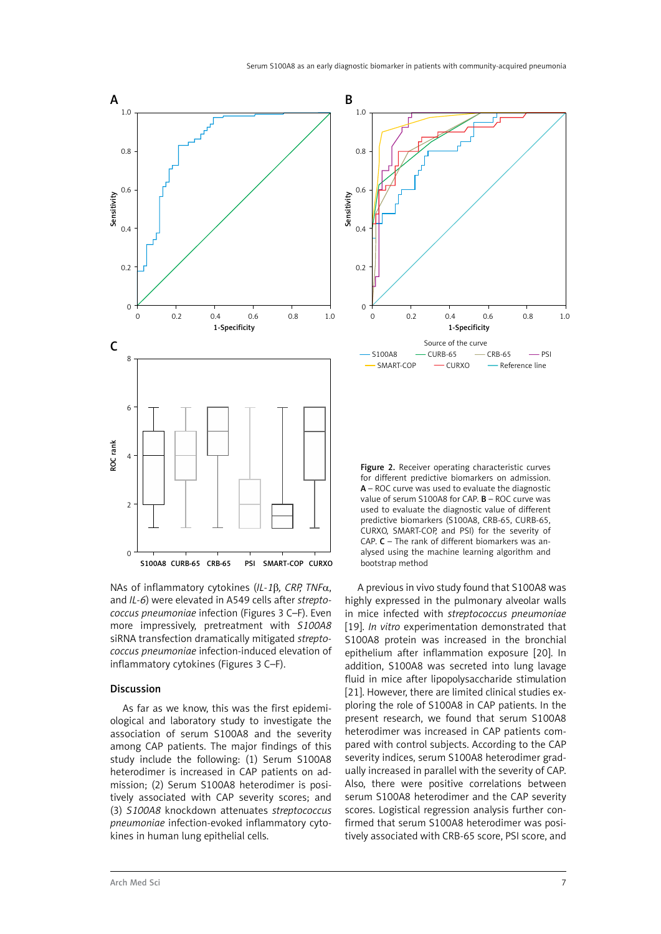

NAs of inflammatory cytokines (*IL-1*β*, CRP, TNF*α, and *IL-6*) were elevated in A549 cells after *streptococcus pneumoniae* infection (Figures 3 C–F). Even more impressively, pretreatment with *S100A8* siRNA transfection dramatically mitigated *streptococcus pneumoniae* infection-induced elevation of inflammatory cytokines (Figures 3 C–F).

# Discussion

As far as we know, this was the first epidemiological and laboratory study to investigate the association of serum S100A8 and the severity among CAP patients. The major findings of this study include the following: (1) Serum S100A8 heterodimer is increased in CAP patients on admission; (2) Serum S100A8 heterodimer is positively associated with CAP severity scores; and (3) *S100A8* knockdown attenuates *streptococcus pneumoniae* infection-evoked inflammatory cytokines in human lung epithelial cells.



Figure 2. Receiver operating characteristic curves for different predictive biomarkers on admission. A – ROC curve was used to evaluate the diagnostic value of serum S100A8 for CAP. B – ROC curve was used to evaluate the diagnostic value of different predictive biomarkers (S100A8, CRB-65, CURB-65, CURXO, SMART-COP, and PSI) for the severity of CAP.  $C$  – The rank of different biomarkers was analysed using the machine learning algorithm and bootstrap method

A previous in vivo study found that S100A8 was highly expressed in the pulmonary alveolar walls in mice infected with *streptococcus pneumoniae*  [19]. *In vitro* experimentation demonstrated that S100A8 protein was increased in the bronchial epithelium after inflammation exposure [20]. In addition, S100A8 was secreted into lung lavage fluid in mice after lipopolysaccharide stimulation [21]. However, there are limited clinical studies exploring the role of S100A8 in CAP patients. In the present research, we found that serum S100A8 heterodimer was increased in CAP patients compared with control subjects. According to the CAP severity indices, serum S100A8 heterodimer gradually increased in parallel with the severity of CAP. Also, there were positive correlations between serum S100A8 heterodimer and the CAP severity scores. Logistical regression analysis further confirmed that serum S100A8 heterodimer was positively associated with CRB-65 score, PSI score, and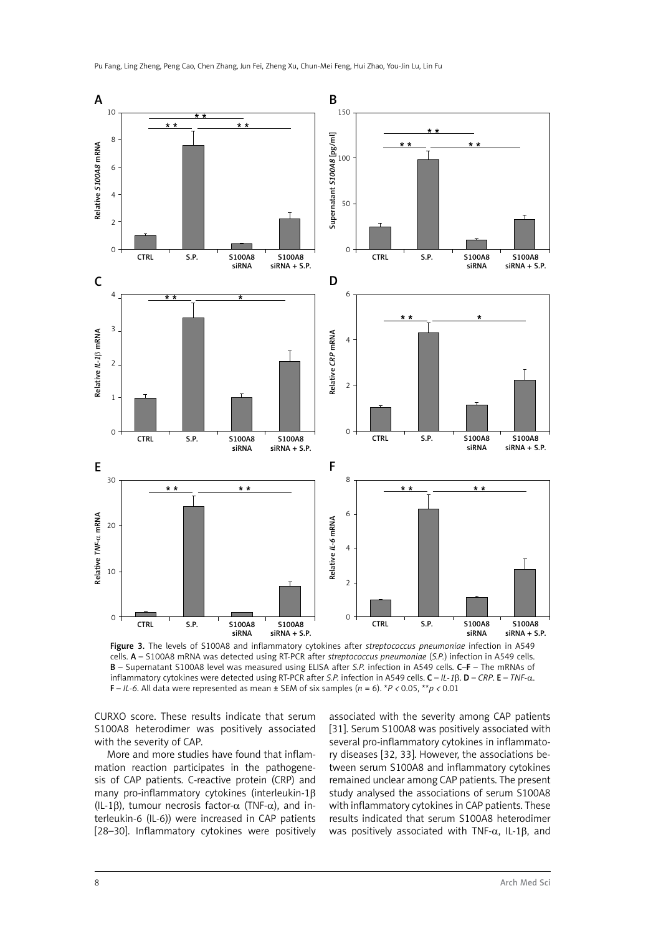

Figure 3. The levels of S100A8 and inflammatory cytokines after *streptococcus pneumoniae* infection in A549 cells. A – S100A8 mRNA was detected using RT-PCR after *streptococcus pneumoniae* (*S.P.*) infection in A549 cells. B – Supernatant S100A8 level was measured using ELISA after *S.P.* infection in A549 cells. C–F – The mRNAs of inflammatory cytokines were detected using RT-PCR after *S.P.* infection in A549 cells. C – *IL-1*β. D – *CRP*. E – *TNF-*α. **F** – *IL-6*. All data were represented as mean  $\pm$  SEM of six samples ( $n = 6$ ). \**P* < 0.05, \*\* $p \le 0.01$ 

CURXO score. These results indicate that serum S100A8 heterodimer was positively associated with the severity of CAP.

More and more studies have found that inflammation reaction participates in the pathogenesis of CAP patients. C-reactive protein (CRP) and many pro-inflammatory cytokines (interleukin-1β (IL-1 $\beta$ ), tumour necrosis factor- $\alpha$  (TNF- $\alpha$ ), and interleukin-6 (IL-6)) were increased in CAP patients [28–30]. Inflammatory cytokines were positively

associated with the severity among CAP patients [31]. Serum S100A8 was positively associated with several pro-inflammatory cytokines in inflammatory diseases [32, 33]. However, the associations between serum S100A8 and inflammatory cytokines remained unclear among CAP patients. The present study analysed the associations of serum S100A8 with inflammatory cytokines in CAP patients. These results indicated that serum S100A8 heterodimer was positively associated with TNF- $\alpha$ , IL-1 $\beta$ , and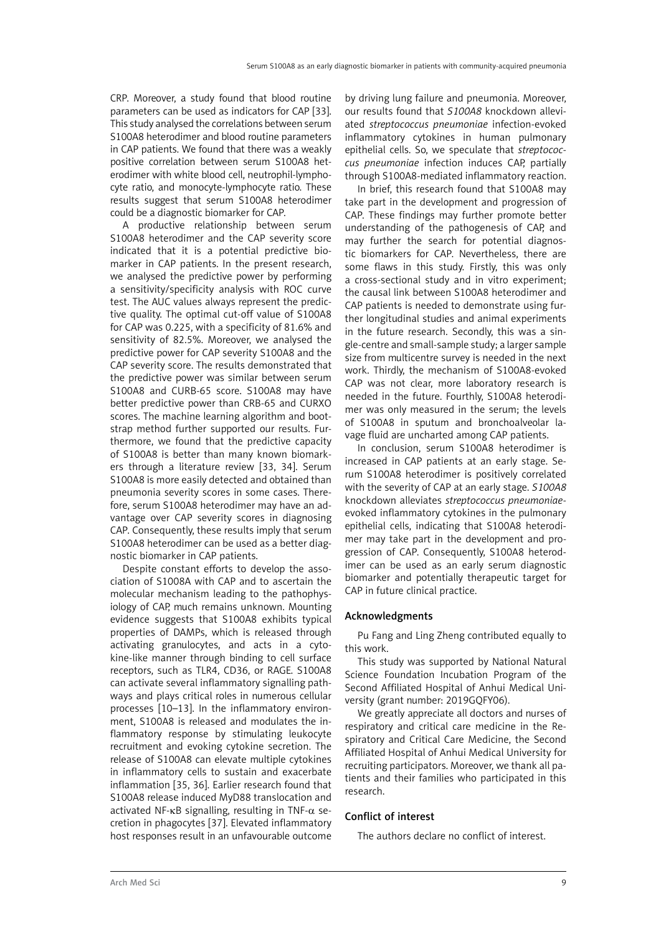CRP. Moreover, a study found that blood routine parameters can be used as indicators for CAP [33]. This study analysed the correlations between serum S100A8 heterodimer and blood routine parameters in CAP patients. We found that there was a weakly positive correlation between serum S100A8 heterodimer with white blood cell, neutrophil-lymphocyte ratio, and monocyte-lymphocyte ratio. These results suggest that serum S100A8 heterodimer could be a diagnostic biomarker for CAP.

A productive relationship between serum S100A8 heterodimer and the CAP severity score indicated that it is a potential predictive biomarker in CAP patients. In the present research, we analysed the predictive power by performing a sensitivity/specificity analysis with ROC curve test. The AUC values always represent the predictive quality. The optimal cut-off value of S100A8 for CAP was 0.225, with a specificity of 81.6% and sensitivity of 82.5%. Moreover, we analysed the predictive power for CAP severity S100A8 and the CAP severity score. The results demonstrated that the predictive power was similar between serum S100A8 and CURB-65 score. S100A8 may have better predictive power than CRB-65 and CURXO scores. The machine learning algorithm and bootstrap method further supported our results. Furthermore, we found that the predictive capacity of S100A8 is better than many known biomarkers through a literature review [33, 34]. Serum S100A8 is more easily detected and obtained than pneumonia severity scores in some cases. Therefore, serum S100A8 heterodimer may have an advantage over CAP severity scores in diagnosing CAP. Consequently, these results imply that serum S100A8 heterodimer can be used as a better diagnostic biomarker in CAP patients.

Despite constant efforts to develop the association of S1008A with CAP and to ascertain the molecular mechanism leading to the pathophysiology of CAP, much remains unknown. Mounting evidence suggests that S100A8 exhibits typical properties of DAMPs, which is released through activating granulocytes, and acts in a cytokine-like manner through binding to cell surface receptors, such as TLR4, CD36, or RAGE. S100A8 can activate several inflammatory signalling pathways and plays critical roles in numerous cellular processes [10–13]. In the inflammatory environment, S100A8 is released and modulates the inflammatory response by stimulating leukocyte recruitment and evoking cytokine secretion. The release of S100A8 can elevate multiple cytokines in inflammatory cells to sustain and exacerbate inflammation [35, 36]. Earlier research found that S100A8 release induced MyD88 translocation and activated NF-κB signalling, resulting in TNF- $α$  secretion in phagocytes [37]. Elevated inflammatory host responses result in an unfavourable outcome

by driving lung failure and pneumonia. Moreover, our results found that *S100A8* knockdown alleviated *streptococcus pneumoniae* infection*-*evoked inflammatory cytokines in human pulmonary epithelial cells. So, we speculate that *streptococcus pneumoniae* infection induces CAP, partially through S100A8-mediated inflammatory reaction.

In brief, this research found that S100A8 may take part in the development and progression of CAP. These findings may further promote better understanding of the pathogenesis of CAP, and may further the search for potential diagnostic biomarkers for CAP. Nevertheless, there are some flaws in this study. Firstly, this was only a cross-sectional study and in vitro experiment; the causal link between S100A8 heterodimer and CAP patients is needed to demonstrate using further longitudinal studies and animal experiments in the future research. Secondly, this was a single-centre and small-sample study; a larger sample size from multicentre survey is needed in the next work. Thirdly, the mechanism of S100A8-evoked CAP was not clear, more laboratory research is needed in the future. Fourthly, S100A8 heterodimer was only measured in the serum; the levels of S100A8 in sputum and bronchoalveolar lavage fluid are uncharted among CAP patients.

In conclusion, serum S100A8 heterodimer is increased in CAP patients at an early stage. Serum S100A8 heterodimer is positively correlated with the severity of CAP at an early stage. *S100A8* knockdown alleviates *streptococcus pneumoniae*evoked inflammatory cytokines in the pulmonary epithelial cells, indicating that S100A8 heterodimer may take part in the development and progression of CAP. Consequently, S100A8 heterodimer can be used as an early serum diagnostic biomarker and potentially therapeutic target for CAP in future clinical practice.

# Acknowledgments

Pu Fang and Ling Zheng contributed equally to this work.

This study was supported by National Natural Science Foundation Incubation Program of the Second Affiliated Hospital of Anhui Medical University (grant number: 2019GQFY06).

We greatly appreciate all doctors and nurses of respiratory and critical care medicine in the Respiratory and Critical Care Medicine, the Second Affiliated Hospital of Anhui Medical University for recruiting participators. Moreover, we thank all patients and their families who participated in this research.

# Conflict of interest

The authors declare no conflict of interest.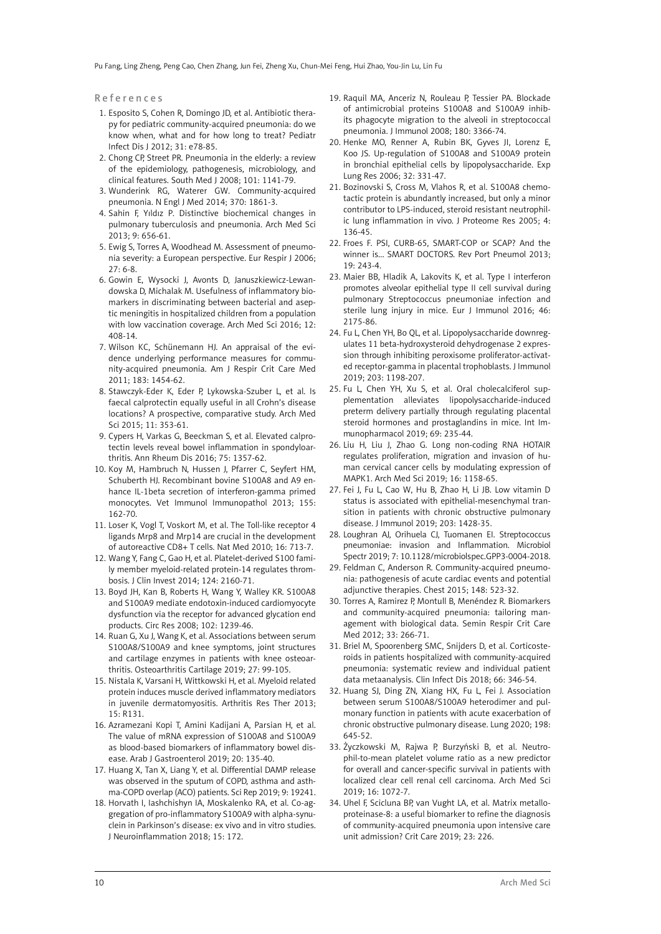Pu Fang, Ling Zheng, Peng Cao, Chen Zhang, Jun Fei, Zheng Xu, Chun-Mei Feng, Hui Zhao, You-Jin Lu, Lin Fu

#### References

- 1. Esposito S, Cohen R, Domingo JD, et al. Antibiotic therapy for pediatric community-acquired pneumonia: do we know when, what and for how long to treat? Pediatr Infect Dis J 2012; 31: e78-85.
- 2. Chong CP, Street PR. Pneumonia in the elderly: a review of the epidemiology, pathogenesis, microbiology, and clinical features. South Med J 2008; 101: 1141-79.
- 3. Wunderink RG, Waterer GW. Community-acquired pneumonia. N Engl J Med 2014; 370: 1861-3.
- 4. Sahin F, Yıldız P. Distinctive biochemical changes in pulmonary tuberculosis and pneumonia. Arch Med Sci 2013; 9: 656-61.
- 5. Ewig S, Torres A, Woodhead M. Assessment of pneumonia severity: a European perspective. Eur Respir J 2006;  $27.6 - 8$
- 6. Gowin E, Wysocki J, Avonts D, Januszkiewicz-Lewandowska D, Michalak M. Usefulness of inflammatory biomarkers in discriminating between bacterial and aseptic meningitis in hospitalized children from a population with low vaccination coverage. Arch Med Sci 2016; 12: 408-14.
- 7. Wilson KC, Schünemann HJ. An appraisal of the evidence underlying performance measures for community-acquired pneumonia. Am J Respir Crit Care Med 2011; 183: 1454-62.
- 8. Stawczyk-Eder K, Eder P, Lykowska-Szuber L, et al. Is faecal calprotectin equally useful in all Crohn's disease locations? A prospective, comparative study. Arch Med Sci 2015; 11: 353-61.
- 9. Cypers H, Varkas G, Beeckman S, et al. Elevated calprotectin levels reveal bowel inflammation in spondyloarthritis. Ann Rheum Dis 2016; 75: 1357-62.
- 10. Koy M, Hambruch N, Hussen J, Pfarrer C, Seyfert HM, Schuberth HJ. Recombinant bovine S100A8 and A9 enhance IL-1beta secretion of interferon-gamma primed monocytes. Vet Immunol Immunopathol 2013; 155: 162-70.
- 11. Loser K, Vogl T, Voskort M, et al. The Toll-like receptor 4 ligands Mrp8 and Mrp14 are crucial in the development of autoreactive CD8+ T cells. Nat Med 2010; 16: 713-7.
- 12. Wang Y, Fang C, Gao H, et al. Platelet-derived S100 family member myeloid-related protein-14 regulates thrombosis. J Clin Invest 2014; 124: 2160-71.
- 13. Boyd JH, Kan B, Roberts H, Wang Y, Walley KR. S100A8 and S100A9 mediate endotoxin-induced cardiomyocyte dysfunction via the receptor for advanced glycation end products. Circ Res 2008; 102: 1239-46.
- 14. Ruan G, Xu J, Wang K, et al. Associations between serum S100A8/S100A9 and knee symptoms, joint structures and cartilage enzymes in patients with knee osteoarthritis. Osteoarthritis Cartilage 2019; 27: 99-105.
- 15. Nistala K, Varsani H, Wittkowski H, et al. Myeloid related protein induces muscle derived inflammatory mediators in juvenile dermatomyositis. Arthritis Res Ther 2013; 15: R131.
- 16. Azramezani Kopi T, Amini Kadijani A, Parsian H, et al. The value of mRNA expression of S100A8 and S100A9 as blood-based biomarkers of inflammatory bowel disease. Arab J Gastroenterol 2019; 20: 135-40.
- 17. Huang X, Tan X, Liang Y, et al. Differential DAMP release was observed in the sputum of COPD, asthma and asthma-COPD overlap (ACO) patients. Sci Rep 2019; 9: 19241.
- 18. Horvath I, Iashchishyn IA, Moskalenko RA, et al. Co-aggregation of pro-inflammatory S100A9 with alpha-synuclein in Parkinson's disease: ex vivo and in vitro studies. J Neuroinflammation 2018; 15: 172.
- 19. Raquil MA, Anceriz N, Rouleau P, Tessier PA. Blockade of antimicrobial proteins S100A8 and S100A9 inhibits phagocyte migration to the alveoli in streptococcal pneumonia. J Immunol 2008; 180: 3366-74.
- 20. Henke MO, Renner A, Rubin BK, Gyves JI, Lorenz E, Koo JS. Up-regulation of S100A8 and S100A9 protein in bronchial epithelial cells by lipopolysaccharide. Exp Lung Res 2006; 32: 331-47.
- 21. Bozinovski S, Cross M, Vlahos R, et al. S100A8 chemotactic protein is abundantly increased, but only a minor contributor to LPS-induced, steroid resistant neutrophilic lung inflammation in vivo. J Proteome Res 2005; 4: 136-45.
- 22. Froes F. PSI, CURB-65, SMART-COP or SCAP? And the winner is... SMART DOCTORS. Rev Port Pneumol 2013; 19: 243-4.
- 23. Maier BB, Hladik A, Lakovits K, et al. Type I interferon promotes alveolar epithelial type II cell survival during pulmonary Streptococcus pneumoniae infection and sterile lung injury in mice. Eur J Immunol 2016; 46: 2175-86.
- 24. Fu L, Chen YH, Bo QL, et al. Lipopolysaccharide downregulates 11 beta-hydroxysteroid dehydrogenase 2 expression through inhibiting peroxisome proliferator-activated receptor-gamma in placental trophoblasts. J Immunol 2019; 203: 1198-207.
- 25. Fu L, Chen YH, Xu S, et al. Oral cholecalciferol supplementation alleviates lipopolysaccharide-induced preterm delivery partially through regulating placental steroid hormones and prostaglandins in mice. Int Immunopharmacol 2019; 69: 235-44.
- 26. Liu H, Liu J, Zhao G. Long non-coding RNA HOTAIR regulates proliferation, migration and invasion of human cervical cancer cells by modulating expression of MAPK1. Arch Med Sci 2019; 16: 1158-65.
- 27. Fei J, Fu L, Cao W, Hu B, Zhao H, Li JB. Low vitamin D status is associated with epithelial-mesenchymal transition in patients with chronic obstructive pulmonary disease. J Immunol 2019; 203: 1428-35.
- 28. Loughran AJ, Orihuela CJ, Tuomanen EI. Streptococcus pneumoniae: invasion and Inflammation. Microbiol Spectr 2019; 7: 10.1128/microbiolspec.GPP3-0004-2018.
- 29. Feldman C, Anderson R. Community-acquired pneumonia: pathogenesis of acute cardiac events and potential adjunctive therapies. Chest 2015; 148: 523-32.
- 30. Torres A, Ramirez P, Montull B, Menéndez R. Biomarkers and community-acquired pneumonia: tailoring management with biological data. Semin Respir Crit Care Med 2012; 33: 266-71.
- 31. Briel M, Spoorenberg SMC, Snijders D, et al. Corticosteroids in patients hospitalized with community-acquired pneumonia: systematic review and individual patient data metaanalysis. Clin Infect Dis 2018; 66: 346-54.
- 32. Huang SJ, Ding ZN, Xiang HX, Fu L, Fei J. Association between serum S100A8/S100A9 heterodimer and pulmonary function in patients with acute exacerbation of chronic obstructive pulmonary disease. Lung 2020; 198: 645-52.
- 33. Życzkowski M, Rajwa P, Burzyński B, et al. Neutrophil-to-mean platelet volume ratio as a new predictor for overall and cancer-specific survival in patients with localized clear cell renal cell carcinoma. Arch Med Sci 2019; 16: 1072-7.
- 34. Uhel F, Scicluna BP, van Vught LA, et al. Matrix metalloproteinase-8: a useful biomarker to refine the diagnosis of community-acquired pneumonia upon intensive care unit admission? Crit Care 2019; 23: 226.